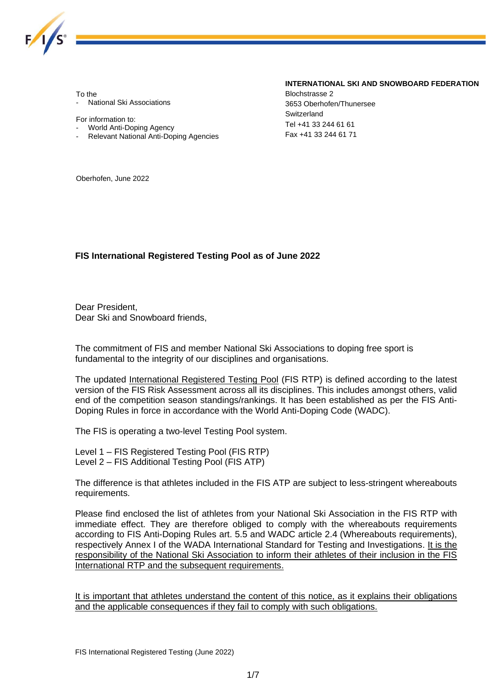

To the

- National Ski Associations

For information to:

- World Anti-Doping Agency
- Relevant National Anti-Doping Agencies

#### **INTERNATIONAL SKI AND SNOWBOARD FEDERATION**

Blochstrasse 2 3653 Oberhofen/Thunersee **Switzerland** Tel +41 33 244 61 61 Fax +41 33 244 61 71

Oberhofen, June 2022

#### **FIS International Registered Testing Pool as of June 2022**

Dear President, Dear Ski and Snowboard friends,

The commitment of FIS and member National Ski Associations to doping free sport is fundamental to the integrity of our disciplines and organisations.

The updated International Registered Testing Pool (FIS RTP) is defined according to the latest version of the FIS Risk Assessment across all its disciplines. This includes amongst others, valid end of the competition season standings/rankings. It has been established as per the FIS Anti-Doping Rules in force in accordance with the World Anti-Doping Code (WADC).

The FIS is operating a two-level Testing Pool system.

Level 1 – FIS Registered Testing Pool (FIS RTP) Level 2 – FIS Additional Testing Pool (FIS ATP)

The difference is that athletes included in the FIS ATP are subject to less-stringent whereabouts requirements.

Please find enclosed the list of athletes from your National Ski Association in the FIS RTP with immediate effect. They are therefore obliged to comply with the whereabouts requirements according to FIS Anti-Doping Rules art. 5.5 and WADC article 2.4 (Whereabouts requirements), respectively Annex I of the WADA International Standard for Testing and Investigations. It is the responsibility of the National Ski Association to inform their athletes of their inclusion in the FIS International RTP and the subsequent requirements.

It is important that athletes understand the content of this notice, as it explains their obligations and the applicable consequences if they fail to comply with such obligations.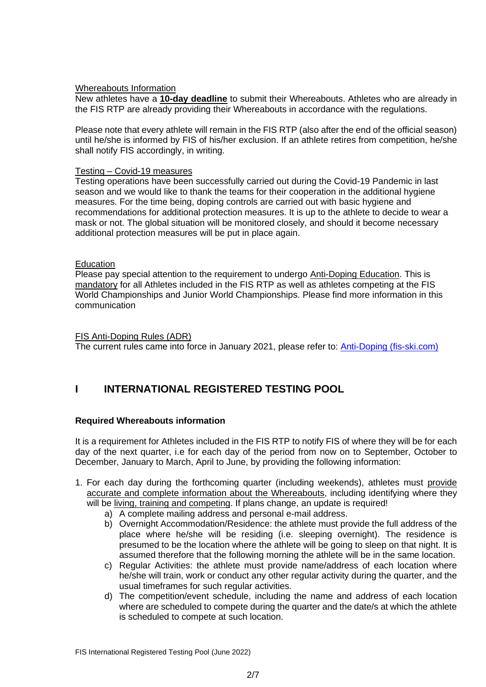#### Whereabouts Information

New athletes have a **10-day deadline** to submit their Whereabouts. Athletes who are already in the FIS RTP are already providing their Whereabouts in accordance with the regulations.

Please note that every athlete will remain in the FIS RTP (also after the end of the official season) until he/she is informed by FIS of his/her exclusion. If an athlete retires from competition, he/she shall notify FIS accordingly, in writing.

#### Testing – Covid-19 measures

Testing operations have been successfully carried out during the Covid-19 Pandemic in last season and we would like to thank the teams for their cooperation in the additional hygiene measures. For the time being, doping controls are carried out with basic hygiene and recommendations for additional protection measures. It is up to the athlete to decide to wear a mask or not. The global situation will be monitored closely, and should it become necessary additional protection measures will be put in place again.

#### **Education**

Please pay special attention to the requirement to undergo Anti-Doping Education. This is mandatory for all Athletes included in the FIS RTP as well as athletes competing at the FIS World Championships and Junior World Championships. Please find more information in this communication

#### FIS Anti-Doping Rules (ADR)

The current rules came into force in January 2021, please refer to: [Anti-Doping \(fis-ski.com\)](https://assets.fis-ski.com/image/upload/v1609774044/fis-prod/assets/FIS_anti-doping_rules_2021_FINAL.pdf)

## **I INTERNATIONAL REGISTERED TESTING POOL**

### **Required Whereabouts information**

It is a requirement for Athletes included in the FIS RTP to notify FIS of where they will be for each day of the next quarter, i.e for each day of the period from now on to September, October to December, January to March, April to June, by providing the following information:

- 1. For each day during the forthcoming quarter (including weekends), athletes must provide accurate and complete information about the Whereabouts, including identifying where they will be living, training and competing. If plans change, an update is required!
	- a) A complete mailing address and personal e-mail address.
	- b) Overnight Accommodation/Residence: the athlete must provide the full address of the place where he/she will be residing (i.e. sleeping overnight). The residence is presumed to be the location where the athlete will be going to sleep on that night. It is assumed therefore that the following morning the athlete will be in the same location.
	- c) Regular Activities: the athlete must provide name/address of each location where he/she will train, work or conduct any other regular activity during the quarter, and the usual timeframes for such regular activities.
	- d) The competition/event schedule, including the name and address of each location where are scheduled to compete during the quarter and the date/s at which the athlete is scheduled to compete at such location.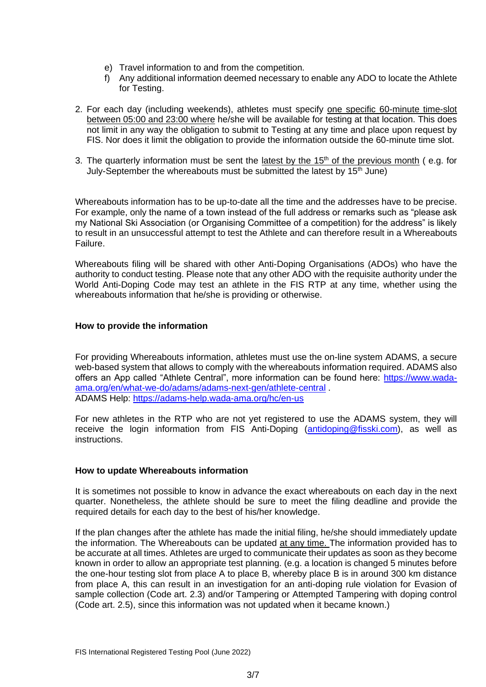- e) Travel information to and from the competition.
- f) Any additional information deemed necessary to enable any ADO to locate the Athlete for Testing.
- 2. For each day (including weekends), athletes must specify one specific 60-minute time-slot between 05:00 and 23:00 where he/she will be available for testing at that location. This does not limit in any way the obligation to submit to Testing at any time and place upon request by FIS. Nor does it limit the obligation to provide the information outside the 60-minute time slot.
- 3. The quarterly information must be sent the latest by the 15<sup>th</sup> of the previous month (e.g. for July-September the whereabouts must be submitted the latest by 15<sup>th</sup> June)

Whereabouts information has to be up-to-date all the time and the addresses have to be precise. For example, only the name of a town instead of the full address or remarks such as "please ask my National Ski Association (or Organising Committee of a competition) for the address" is likely to result in an unsuccessful attempt to test the Athlete and can therefore result in a Whereabouts Failure.

Whereabouts filing will be shared with other Anti-Doping Organisations (ADOs) who have the authority to conduct testing. Please note that any other ADO with the requisite authority under the World Anti-Doping Code may test an athlete in the FIS RTP at any time, whether using the whereabouts information that he/she is providing or otherwise.

### **How to provide the information**

For providing Whereabouts information, athletes must use the on-line system ADAMS, a secure web-based system that allows to comply with the whereabouts information required. ADAMS also offers an App called "Athlete Central", more information can be found here: [https://www.wada](https://www.wada-ama.org/en/what-we-do/adams/adams-next-gen/athlete-central)[ama.org/en/what-we-do/adams/adams-next-gen/athlete-central](https://www.wada-ama.org/en/what-we-do/adams/adams-next-gen/athlete-central) . ADAMS Help:<https://adams-help.wada-ama.org/hc/en-us>

For new athletes in the RTP who are not yet registered to use the ADAMS system, they will receive the login information from FIS Anti-Doping [\(antidoping@fisski.com\)](mailto:antidoping@fisski.com), as well as instructions.

### **How to update Whereabouts information**

It is sometimes not possible to know in advance the exact whereabouts on each day in the next quarter. Nonetheless, the athlete should be sure to meet the filing deadline and provide the required details for each day to the best of his/her knowledge.

If the plan changes after the athlete has made the initial filing, he/she should immediately update the information. The Whereabouts can be updated at any time. The information provided has to be accurate at all times. Athletes are urged to communicate their updates as soon as they become known in order to allow an appropriate test planning. (e.g. a location is changed 5 minutes before the one-hour testing slot from place A to place B, whereby place B is in around 300 km distance from place A, this can result in an investigation for an anti-doping rule violation for Evasion of sample collection (Code art. 2.3) and/or Tampering or Attempted Tampering with doping control (Code art. 2.5), since this information was not updated when it became known.)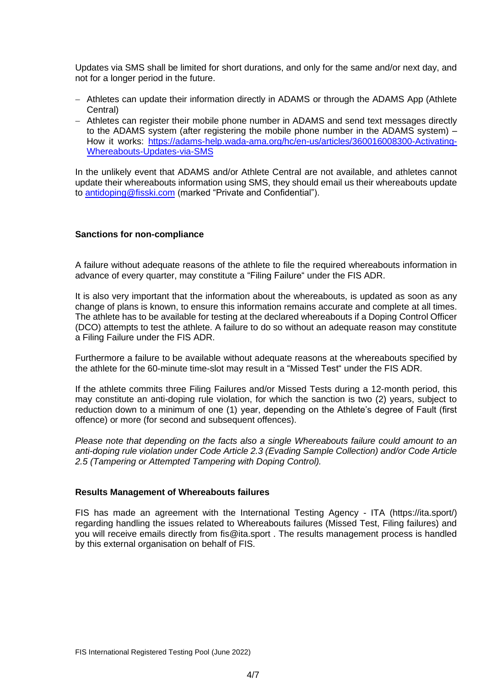Updates via SMS shall be limited for short durations, and only for the same and/or next day, and not for a longer period in the future.

- − Athletes can update their information directly in ADAMS or through the ADAMS App (Athlete Central)
- − Athletes can register their mobile phone number in ADAMS and send text messages directly to the ADAMS system (after registering the mobile phone number in the ADAMS system) – How it works: [https://adams-help.wada-ama.org/hc/en-us/articles/360016008300-Activating-](https://adams-help.wada-ama.org/hc/en-us/articles/360016008300-Activating-Whereabouts-Updates-via-SMS)[Whereabouts-Updates-via-SMS](https://adams-help.wada-ama.org/hc/en-us/articles/360016008300-Activating-Whereabouts-Updates-via-SMS)

In the unlikely event that ADAMS and/or Athlete Central are not available, and athletes cannot update their whereabouts information using SMS, they should email us their whereabouts update to [antidoping@fisski.com](mailto:antidoping@fisski.com) (marked "Private and Confidential").

#### **Sanctions for non-compliance**

A failure without adequate reasons of the athlete to file the required whereabouts information in advance of every quarter, may constitute a "Filing Failure" under the FIS ADR.

It is also very important that the information about the whereabouts, is updated as soon as any change of plans is known, to ensure this information remains accurate and complete at all times. The athlete has to be available for testing at the declared whereabouts if a Doping Control Officer (DCO) attempts to test the athlete. A failure to do so without an adequate reason may constitute a Filing Failure under the FIS ADR.

Furthermore a failure to be available without adequate reasons at the whereabouts specified by the athlete for the 60-minute time-slot may result in a "Missed Test" under the FIS ADR.

If the athlete commits three Filing Failures and/or Missed Tests during a 12-month period, this may constitute an anti-doping rule violation, for which the sanction is two (2) years, subject to reduction down to a minimum of one (1) year, depending on the Athlete's degree of Fault (first offence) or more (for second and subsequent offences).

*Please note that depending on the facts also a single Whereabouts failure could amount to an anti-doping rule violation under Code Article 2.3 (Evading Sample Collection) and/or Code Article 2.5 (Tampering or Attempted Tampering with Doping Control).*

#### **Results Management of Whereabouts failures**

FIS has made an agreement with the International Testing Agency - ITA (https://ita.sport/) regarding handling the issues related to Whereabouts failures (Missed Test, Filing failures) and you will receive emails directly from fis@ita.sport . The results management process is handled by this external organisation on behalf of FIS.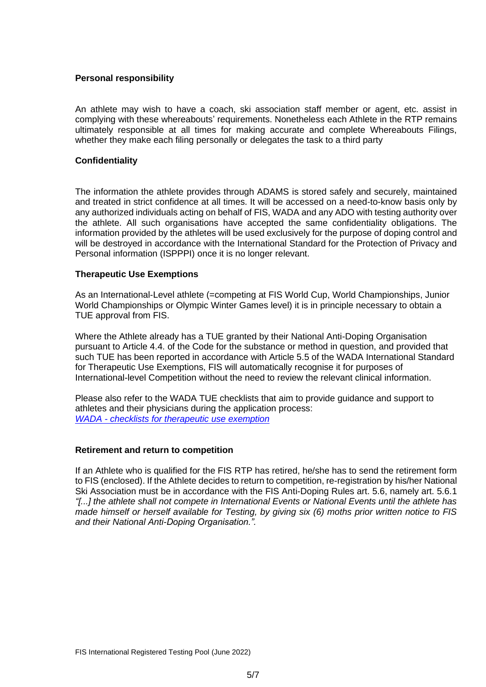#### **Personal responsibility**

An athlete may wish to have a coach, ski association staff member or agent, etc. assist in complying with these whereabouts' requirements. Nonetheless each Athlete in the RTP remains ultimately responsible at all times for making accurate and complete Whereabouts Filings, whether they make each filing personally or delegates the task to a third party

#### **Confidentiality**

The information the athlete provides through ADAMS is stored safely and securely, maintained and treated in strict confidence at all times. It will be accessed on a need-to-know basis only by any authorized individuals acting on behalf of FIS, WADA and any ADO with testing authority over the athlete. All such organisations have accepted the same confidentiality obligations. The information provided by the athletes will be used exclusively for the purpose of doping control and will be destroyed in accordance with the [International Standard for the Protection of Privacy and](https://www.wada-ama.org/en/resources/data-protection/international-standard-for-the-protection-of-privacy-and-personal)  [Personal information \(ISPPPI\)](https://www.wada-ama.org/en/resources/data-protection/international-standard-for-the-protection-of-privacy-and-personal) once it is no longer relevant.

#### **Therapeutic Use Exemptions**

As an International-Level athlete (=competing at FIS World Cup, World Championships, Junior World Championships or Olympic Winter Games level) it is in principle necessary to obtain a TUE approval from FIS.

Where the Athlete already has a TUE granted by their National Anti-Doping Organisation pursuant to Article 4.4. of the Code for the substance or method in question, and provided that such TUE has been reported in accordance with Article 5.5 of the WADA International Standard for Therapeutic Use Exemptions, FIS will automatically recognise it for purposes of International-level Competition without the need to review the relevant clinical information.

Please also refer to the WADA TUE checklists that aim to provide guidance and support to athletes and their physicians during the application process: *WADA - [checklists for therapeutic use exemption](https://www.wada-ama.org/en/resources/therapeutic-use-exemption-tue/checklist-for-therapeutic-use-exemption-tue-application-13)*

#### **Retirement and return to competition**

If an Athlete who is qualified for the FIS RTP has retired, he/she has to send the retirement form to FIS (enclosed). If the Athlete decides to return to competition, re-registration by his/her National Ski Association must be in accordance with the FIS Anti-Doping Rules art. 5.6, namely art. 5.6.1 *"[...] the athlete shall not compete in International Events or National Events until the athlete has made himself or herself available for Testing, by giving six (6) moths prior written notice to FIS and their National Anti-Doping Organisation.".*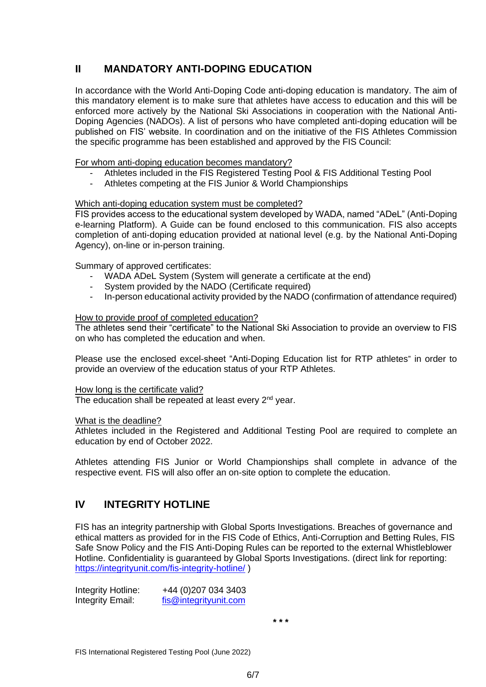# **II MANDATORY ANTI-DOPING EDUCATION**

In accordance with the World Anti-Doping Code anti-doping education is mandatory. The aim of this mandatory element is to make sure that athletes have access to education and this will be enforced more actively by the National Ski Associations in cooperation with the National Anti-Doping Agencies (NADOs). A list of persons who have completed anti-doping education will be published on FIS' website. In coordination and on the initiative of the FIS Athletes Commission the specific programme has been established and approved by the FIS Council:

For whom anti-doping education becomes mandatory?

- Athletes included in the FIS Registered Testing Pool & FIS Additional Testing Pool
- Athletes competing at the FIS Junior & World Championships

#### Which anti-doping education system must be completed?

FIS provides access to the educational system developed by WADA, named "ADeL" (Anti-Doping e-learning Platform). A Guide can be found enclosed to this communication. FIS also accepts completion of anti-doping education provided at national level (e.g. by the National Anti-Doping Agency), on-line or in-person training.

Summary of approved certificates:

- WADA ADeL System (System will generate a certificate at the end)
- System provided by the NADO (Certificate required)
- In-person educational activity provided by the NADO (confirmation of attendance required)

#### How to provide proof of completed education?

The athletes send their "certificate" to the National Ski Association to provide an overview to FIS on who has completed the education and when.

Please use the enclosed excel-sheet "Anti-Doping Education list for RTP athletes" in order to provide an overview of the education status of your RTP Athletes.

#### How long is the certificate valid?

The education shall be repeated at least every 2<sup>nd</sup> year.

#### What is the deadline?

Athletes included in the Registered and Additional Testing Pool are required to complete an education by end of October 2022.

Athletes attending FIS Junior or World Championships shall complete in advance of the respective event. FIS will also offer an on-site option to complete the education.

### **IV INTEGRITY HOTLINE**

FIS has an integrity partnership with Global Sports Investigations. Breaches of governance and ethical matters as provided for in the FIS Code of Ethics, Anti-Corruption and Betting Rules, FIS Safe Snow Policy and the FIS Anti-Doping Rules can be reported to the external Whistleblower Hotline. Confidentiality is guaranteed by Global Sports Investigations. (direct link for reporting: <https://integrityunit.com/fis-integrity-hotline/> )

Integrity Hotline: +44 (0)207 034 3403 Integrity Email: [fis@integrityunit.com](mailto:fis@integrityunit.com)

**\* \* \***